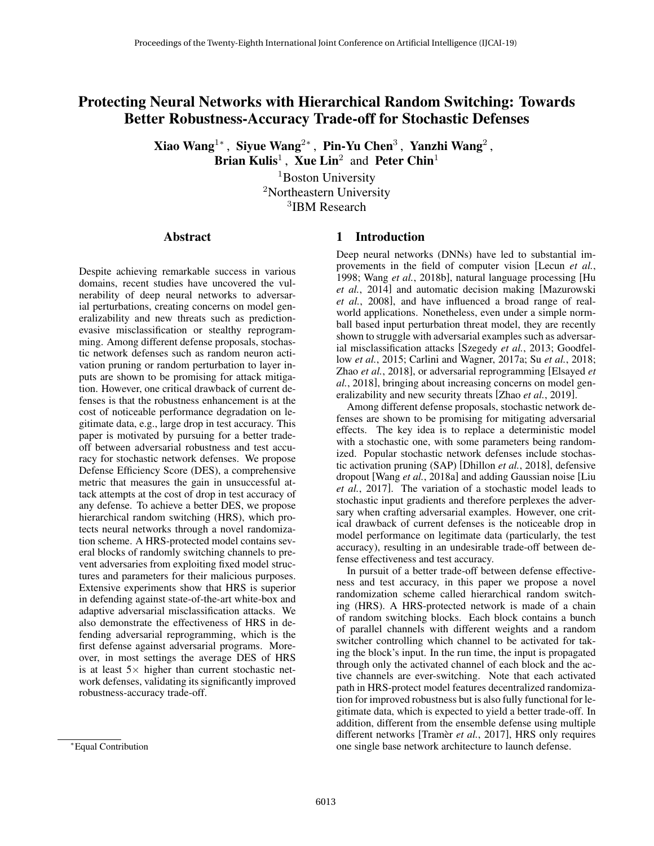# Protecting Neural Networks with Hierarchical Random Switching: Towards Better Robustness-Accuracy Trade-off for Stochastic Defenses

Xiao Wang<sup>1</sup>\*, Siyue Wang<sup>2\*</sup>, Pin-Yu Chen<sup>3</sup>, Yanzhi Wang<sup>2</sup>,

Brian Kulis<sup>1</sup>, Xue Lin<sup>2</sup> and Peter Chin<sup>1</sup>

<sup>1</sup>Boston University <sup>2</sup>Northeastern University <sup>3</sup>IBM Research

### Abstract

Despite achieving remarkable success in various domains, recent studies have uncovered the vulnerability of deep neural networks to adversarial perturbations, creating concerns on model generalizability and new threats such as predictionevasive misclassification or stealthy reprogramming. Among different defense proposals, stochastic network defenses such as random neuron activation pruning or random perturbation to layer inputs are shown to be promising for attack mitigation. However, one critical drawback of current defenses is that the robustness enhancement is at the cost of noticeable performance degradation on legitimate data, e.g., large drop in test accuracy. This paper is motivated by pursuing for a better tradeoff between adversarial robustness and test accuracy for stochastic network defenses. We propose Defense Efficiency Score (DES), a comprehensive metric that measures the gain in unsuccessful attack attempts at the cost of drop in test accuracy of any defense. To achieve a better DES, we propose hierarchical random switching (HRS), which protects neural networks through a novel randomization scheme. A HRS-protected model contains several blocks of randomly switching channels to prevent adversaries from exploiting fixed model structures and parameters for their malicious purposes. Extensive experiments show that HRS is superior in defending against state-of-the-art white-box and adaptive adversarial misclassification attacks. We also demonstrate the effectiveness of HRS in defending adversarial reprogramming, which is the first defense against adversarial programs. Moreover, in most settings the average DES of HRS is at least  $5 \times$  higher than current stochastic network defenses, validating its significantly improved robustness-accuracy trade-off.

# 1 Introduction

Deep neural networks (DNNs) have led to substantial improvements in the field of computer vision [Lecun *et al.*, 1998; Wang *et al.*, 2018b], natural language processing [Hu *et al.*, 2014] and automatic decision making [Mazurowski *et al.*, 2008], and have influenced a broad range of realworld applications. Nonetheless, even under a simple normball based input perturbation threat model, they are recently shown to struggle with adversarial examples such as adversarial misclassification attacks [Szegedy *et al.*, 2013; Goodfellow *et al.*, 2015; Carlini and Wagner, 2017a; Su *et al.*, 2018; Zhao *et al.*, 2018], or adversarial reprogramming [Elsayed *et al.*, 2018], bringing about increasing concerns on model generalizability and new security threats [Zhao *et al.*, 2019].

Among different defense proposals, stochastic network defenses are shown to be promising for mitigating adversarial effects. The key idea is to replace a deterministic model with a stochastic one, with some parameters being randomized. Popular stochastic network defenses include stochastic activation pruning (SAP) [Dhillon *et al.*, 2018], defensive dropout [Wang *et al.*, 2018a] and adding Gaussian noise [Liu *et al.*, 2017]. The variation of a stochastic model leads to stochastic input gradients and therefore perplexes the adversary when crafting adversarial examples. However, one critical drawback of current defenses is the noticeable drop in model performance on legitimate data (particularly, the test accuracy), resulting in an undesirable trade-off between defense effectiveness and test accuracy.

In pursuit of a better trade-off between defense effectiveness and test accuracy, in this paper we propose a novel randomization scheme called hierarchical random switching (HRS). A HRS-protected network is made of a chain of random switching blocks. Each block contains a bunch of parallel channels with different weights and a random switcher controlling which channel to be activated for taking the block's input. In the run time, the input is propagated through only the activated channel of each block and the active channels are ever-switching. Note that each activated path in HRS-protect model features decentralized randomization for improved robustness but is also fully functional for legitimate data, which is expected to yield a better trade-off. In addition, different from the ensemble defense using multiple different networks [Tramèr et al., 2017], HRS only requires one single base network architecture to launch defense.

<sup>⇤</sup>Equal Contribution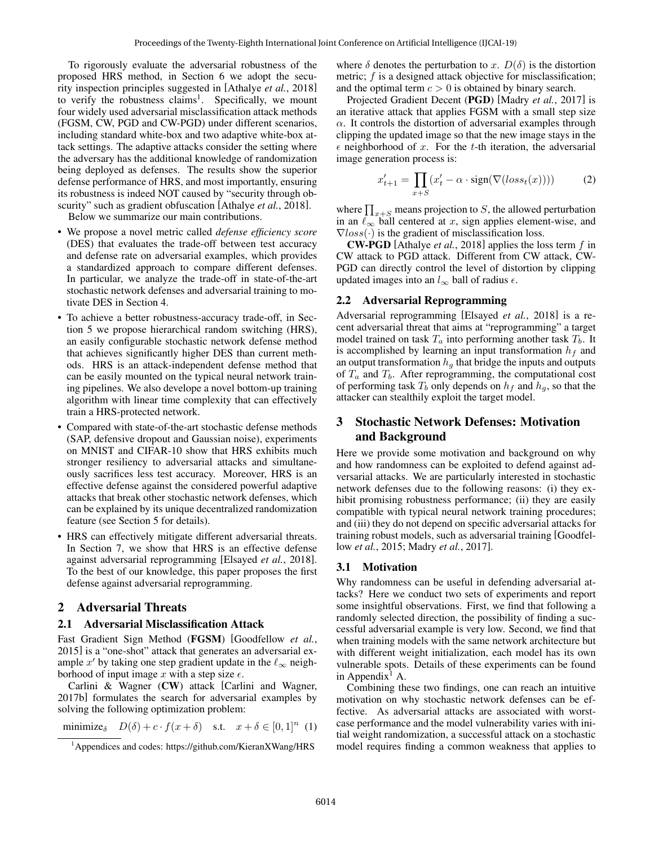To rigorously evaluate the adversarial robustness of the proposed HRS method, in Section 6 we adopt the security inspection principles suggested in [Athalye *et al.*, 2018] to verify the robustness claims<sup>1</sup>. Specifically, we mount four widely used adversarial misclassification attack methods (FGSM, CW, PGD and CW-PGD) under different scenarios, including standard white-box and two adaptive white-box attack settings. The adaptive attacks consider the setting where the adversary has the additional knowledge of randomization being deployed as defenses. The results show the superior defense performance of HRS, and most importantly, ensuring its robustness is indeed NOT caused by "security through obscurity" such as gradient obfuscation [Athalye *et al.*, 2018].

Below we summarize our main contributions.

- We propose a novel metric called *defense efficiency score* (DES) that evaluates the trade-off between test accuracy and defense rate on adversarial examples, which provides a standardized approach to compare different defenses. In particular, we analyze the trade-off in state-of-the-art stochastic network defenses and adversarial training to motivate DES in Section 4.
- To achieve a better robustness-accuracy trade-off, in Section 5 we propose hierarchical random switching (HRS), an easily configurable stochastic network defense method that achieves significantly higher DES than current methods. HRS is an attack-independent defense method that can be easily mounted on the typical neural network training pipelines. We also develope a novel bottom-up training algorithm with linear time complexity that can effectively train a HRS-protected network.
- Compared with state-of-the-art stochastic defense methods (SAP, defensive dropout and Gaussian noise), experiments on MNIST and CIFAR-10 show that HRS exhibits much stronger resiliency to adversarial attacks and simultaneously sacrifices less test accuracy. Moreover, HRS is an effective defense against the considered powerful adaptive attacks that break other stochastic network defenses, which can be explained by its unique decentralized randomization feature (see Section 5 for details).
- HRS can effectively mitigate different adversarial threats. In Section 7, we show that HRS is an effective defense against adversarial reprogramming [Elsayed *et al.*, 2018]. To the best of our knowledge, this paper proposes the first defense against adversarial reprogramming.

### 2 Adversarial Threats

#### 2.1 Adversarial Misclassification Attack

Fast Gradient Sign Method (FGSM) [Goodfellow *et al.*, 2015] is a "one-shot" attack that generates an adversarial example x' by taking one step gradient update in the  $\ell_{\infty}$  neighborhood of input image  $x$  with a step size  $\epsilon$ .

Carlini & Wagner (CW) attack [Carlini and Wagner, 2017b] formulates the search for adversarial examples by solving the following optimization problem:

minimize<sub>δ</sub> 
$$
D(\delta) + c \cdot f(x + \delta)
$$
 s.t.  $x + \delta \in [0, 1]^n$  (1)

where  $\delta$  denotes the perturbation to *x*.  $D(\delta)$  is the distortion metric; *f* is a designed attack objective for misclassification; and the optimal term  $c > 0$  is obtained by binary search.

Projected Gradient Decent (PGD) [Madry *et al.*, 2017] is an iterative attack that applies FGSM with a small step size  $\alpha$ . It controls the distortion of adversarial examples through clipping the updated image so that the new image stays in the  $\epsilon$  neighborhood of *x*. For the *t*-th iteration, the adversarial image generation process is:

$$
x'_{t+1} = \prod_{x+S} (x'_t - \alpha \cdot \text{sign}(\nabla(\text{loss}_t(x)))) \tag{2}
$$

where  $\prod_{x+S}$  means projection to *S*, the allowed perturbation in an  $\ell_{\infty}$  ball centered at *x*, sign applies element-wise, and  $\sqrt{7}$ loss $(\cdot)$  is the gradient of misclassification loss.

CW-PGD [Athalye *et al.*, 2018] applies the loss term *f* in CW attack to PGD attack. Different from CW attack, CW-PGD can directly control the level of distortion by clipping updated images into an  $l_{\infty}$  ball of radius  $\epsilon$ .

### 2.2 Adversarial Reprogramming

Adversarial reprogramming [Elsayed *et al.*, 2018] is a recent adversarial threat that aims at "reprogramming" a target model trained on task  $T_a$  into performing another task  $T_b$ . It is accomplished by learning an input transformation *h<sup>f</sup>* and an output transformation  $h<sub>q</sub>$  that bridge the inputs and outputs of *T<sup>a</sup>* and *Tb*. After reprogramming, the computational cost of performing task  $T_b$  only depends on  $h_f$  and  $h_g$ , so that the attacker can stealthily exploit the target model.

# 3 Stochastic Network Defenses: Motivation and Background

Here we provide some motivation and background on why and how randomness can be exploited to defend against adversarial attacks. We are particularly interested in stochastic network defenses due to the following reasons: (i) they exhibit promising robustness performance; (ii) they are easily compatible with typical neural network training procedures; and (iii) they do not depend on specific adversarial attacks for training robust models, such as adversarial training [Goodfellow *et al.*, 2015; Madry *et al.*, 2017].

### 3.1 Motivation

Why randomness can be useful in defending adversarial attacks? Here we conduct two sets of experiments and report some insightful observations. First, we find that following a randomly selected direction, the possibility of finding a successful adversarial example is very low. Second, we find that when training models with the same network architecture but with different weight initialization, each model has its own vulnerable spots. Details of these experiments can be found in Appendix<sup>1</sup> A.

Combining these two findings, one can reach an intuitive motivation on why stochastic network defenses can be effective. As adversarial attacks are associated with worstcase performance and the model vulnerability varies with initial weight randomization, a successful attack on a stochastic model requires finding a common weakness that applies to

<sup>&</sup>lt;sup>1</sup>Appendices and codes: https://github.com/KieranXWang/HRS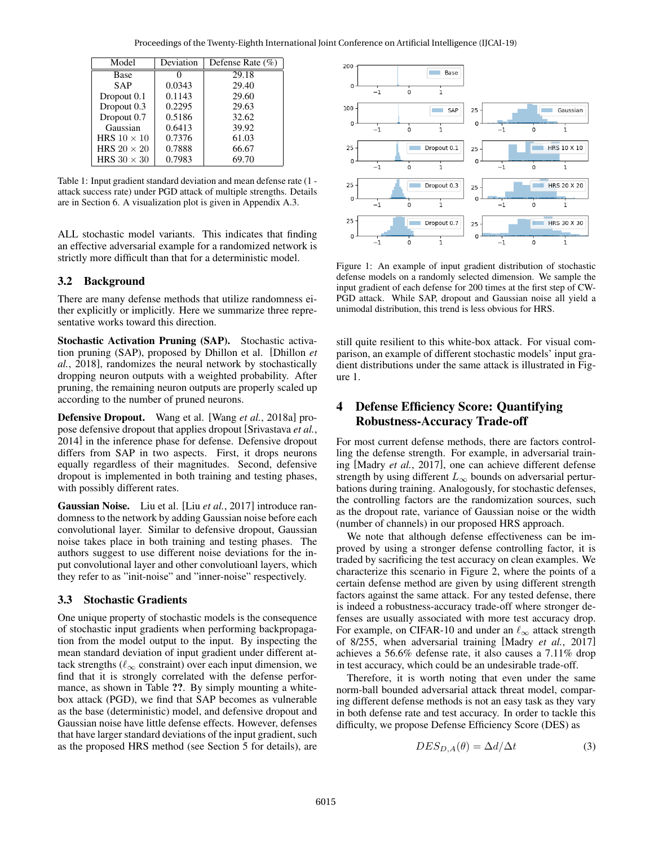| Model              | Deviation | Defense Rate $(\% )$ |
|--------------------|-----------|----------------------|
| Base               |           | 29.18                |
| <b>SAP</b>         | 0.0343    | 29.40                |
| Dropout 0.1        | 0.1143    | 29.60                |
| Dropout 0.3        | 0.2295    | 29.63                |
| Dropout 0.7        | 0.5186    | 32.62                |
| Gaussian           | 0.6413    | 39.92                |
| HRS $10 \times 10$ | 0.7376    | 61.03                |
| HRS $20 \times 20$ | 0.7888    | 66.67                |
| HRS $30 \times 30$ | 0.7983    | 69.70                |

Table 1: Input gradient standard deviation and mean defense rate (1 attack success rate) under PGD attack of multiple strengths. Details are in Section 6. A visualization plot is given in Appendix A.3.

ALL stochastic model variants. This indicates that finding an effective adversarial example for a randomized network is strictly more difficult than that for a deterministic model.

### 3.2 Background

There are many defense methods that utilize randomness either explicitly or implicitly. Here we summarize three representative works toward this direction.

Stochastic Activation Pruning (SAP). Stochastic activation pruning (SAP), proposed by Dhillon et al. [Dhillon *et al.*, 2018], randomizes the neural network by stochastically dropping neuron outputs with a weighted probability. After pruning, the remaining neuron outputs are properly scaled up according to the number of pruned neurons.

Defensive Dropout. Wang et al. [Wang *et al.*, 2018a] propose defensive dropout that applies dropout [Srivastava *et al.*, 2014] in the inference phase for defense. Defensive dropout differs from SAP in two aspects. First, it drops neurons equally regardless of their magnitudes. Second, defensive dropout is implemented in both training and testing phases, with possibly different rates.

Gaussian Noise. Liu et al. [Liu *et al.*, 2017] introduce randomness to the network by adding Gaussian noise before each convolutional layer. Similar to defensive dropout, Gaussian noise takes place in both training and testing phases. The authors suggest to use different noise deviations for the input convolutional layer and other convolutioanl layers, which they refer to as "init-noise" and "inner-noise" respectively.

#### 3.3 Stochastic Gradients

One unique property of stochastic models is the consequence of stochastic input gradients when performing backpropagation from the model output to the input. By inspecting the mean standard deviation of input gradient under different attack strengths ( $\ell_{\infty}$  constraint) over each input dimension, we find that it is strongly correlated with the defense performance, as shown in Table ??. By simply mounting a whitebox attack (PGD), we find that SAP becomes as vulnerable as the base (deterministic) model, and defensive dropout and Gaussian noise have little defense effects. However, defenses that have larger standard deviations of the input gradient, such as the proposed HRS method (see Section 5 for details), are



Figure 1: An example of input gradient distribution of stochastic defense models on a randomly selected dimension. We sample the input gradient of each defense for 200 times at the first step of CW-PGD attack. While SAP, dropout and Gaussian noise all yield a unimodal distribution, this trend is less obvious for HRS.

still quite resilient to this white-box attack. For visual comparison, an example of different stochastic models' input gradient distributions under the same attack is illustrated in Figure 1.

# 4 Defense Efficiency Score: Quantifying Robustness-Accuracy Trade-off

For most current defense methods, there are factors controlling the defense strength. For example, in adversarial training [Madry *et al.*, 2017], one can achieve different defense strength by using different  $L_{\infty}$  bounds on adversarial perturbations during training. Analogously, for stochastic defenses, the controlling factors are the randomization sources, such as the dropout rate, variance of Gaussian noise or the width (number of channels) in our proposed HRS approach.

We note that although defense effectiveness can be improved by using a stronger defense controlling factor, it is traded by sacrificing the test accuracy on clean examples. We characterize this scenario in Figure 2, where the points of a certain defense method are given by using different strength factors against the same attack. For any tested defense, there is indeed a robustness-accuracy trade-off where stronger defenses are usually associated with more test accuracy drop. For example, on CIFAR-10 and under an  $\ell_{\infty}$  attack strength of 8/255, when adversarial training [Madry *et al.*, 2017] achieves a 56.6% defense rate, it also causes a 7.11% drop in test accuracy, which could be an undesirable trade-off.

Therefore, it is worth noting that even under the same norm-ball bounded adversarial attack threat model, comparing different defense methods is not an easy task as they vary in both defense rate and test accuracy. In order to tackle this difficulty, we propose Defense Efficiency Score (DES) as

$$
DES_{D,A}(\theta) = \Delta d/\Delta t \tag{3}
$$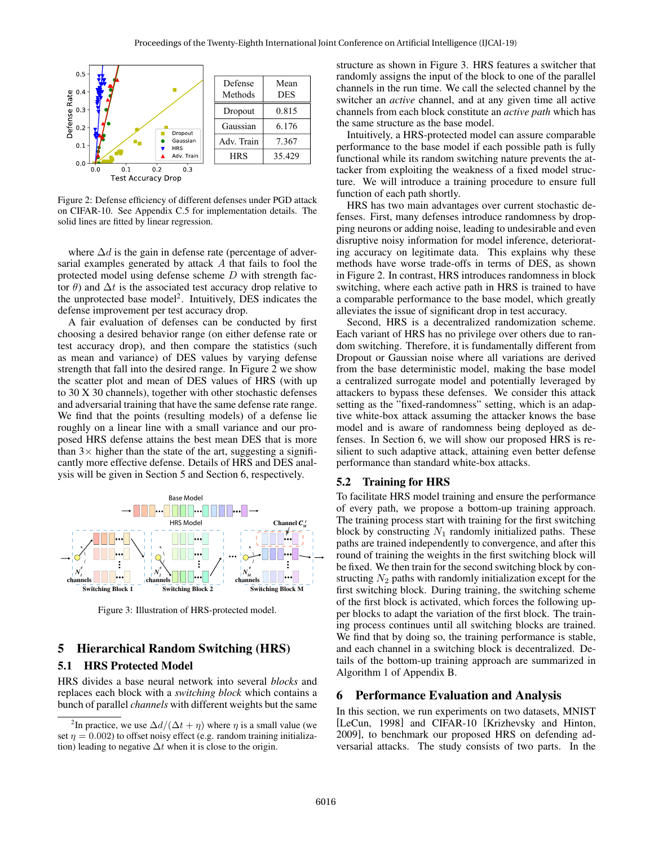

Figure 2: Defense efficiency of different defenses under PGD attack on CIFAR-10. See Appendix C.5 for implementation details. The solid lines are fitted by linear regression.

where  $\Delta d$  is the gain in defense rate (percentage of adversarial examples generated by attack *A* that fails to fool the protected model using defense scheme *D* with strength factor  $\theta$ ) and  $\Delta t$  is the associated test accuracy drop relative to the unprotected base model<sup>2</sup>. Intuitively, DES indicates the defense improvement per test accuracy drop.

A fair evaluation of defenses can be conducted by first choosing a desired behavior range (on either defense rate or test accuracy drop), and then compare the statistics (such as mean and variance) of DES values by varying defense strength that fall into the desired range. In Figure 2 we show the scatter plot and mean of DES values of HRS (with up to 30 X 30 channels), together with other stochastic defenses and adversarial training that have the same defense rate range. We find that the points (resulting models) of a defense lie roughly on a linear line with a small variance and our proposed HRS defense attains the best mean DES that is more than  $3 \times$  higher than the state of the art, suggesting a significantly more effective defense. Details of HRS and DES analysis will be given in Section 5 and Section 6, respectively.



Figure 3: Illustration of HRS-protected model.

# 5 Hierarchical Random Switching (HRS)

### 5.1 HRS Protected Model

HRS divides a base neural network into several *blocks* and replaces each block with a *switching block* which contains a bunch of parallel *channels* with different weights but the same structure as shown in Figure 3. HRS features a switcher that randomly assigns the input of the block to one of the parallel channels in the run time. We call the selected channel by the switcher an *active* channel, and at any given time all active channels from each block constitute an *active path* which has the same structure as the base model.

Intuitively, a HRS-protected model can assure comparable performance to the base model if each possible path is fully functional while its random switching nature prevents the attacker from exploiting the weakness of a fixed model structure. We will introduce a training procedure to ensure full function of each path shortly.

HRS has two main advantages over current stochastic defenses. First, many defenses introduce randomness by dropping neurons or adding noise, leading to undesirable and even disruptive noisy information for model inference, deteriorating accuracy on legitimate data. This explains why these methods have worse trade-offs in terms of DES, as shown in Figure 2. In contrast, HRS introduces randomness in block switching, where each active path in HRS is trained to have a comparable performance to the base model, which greatly alleviates the issue of significant drop in test accuracy.

Second, HRS is a decentralized randomization scheme. Each variant of HRS has no privilege over others due to random switching. Therefore, it is fundamentally different from Dropout or Gaussian noise where all variations are derived from the base deterministic model, making the base model a centralized surrogate model and potentially leveraged by attackers to bypass these defenses. We consider this attack setting as the "fixed-randomness" setting, which is an adaptive white-box attack assuming the attacker knows the base model and is aware of randomness being deployed as defenses. In Section 6, we will show our proposed HRS is resilient to such adaptive attack, attaining even better defense performance than standard white-box attacks.

#### 5.2 Training for HRS

To facilitate HRS model training and ensure the performance of every path, we propose a bottom-up training approach. The training process start with training for the first switching block by constructing  $N_1$  randomly initialized paths. These paths are trained independently to convergence, and after this round of training the weights in the first switching block will be fixed. We then train for the second switching block by constructing *N*<sup>2</sup> paths with randomly initialization except for the first switching block. During training, the switching scheme of the first block is activated, which forces the following upper blocks to adapt the variation of the first block. The training process continues until all switching blocks are trained. We find that by doing so, the training performance is stable, and each channel in a switching block is decentralized. Details of the bottom-up training approach are summarized in Algorithm 1 of Appendix B.

# 6 Performance Evaluation and Analysis

In this section, we run experiments on two datasets, MNIST [LeCun, 1998] and CIFAR-10 [Krizhevsky and Hinton, 2009], to benchmark our proposed HRS on defending adversarial attacks. The study consists of two parts. In the

<sup>&</sup>lt;sup>2</sup>In practice, we use  $\Delta d/(\Delta t + \eta)$  where  $\eta$  is a small value (we set  $\eta = 0.002$ ) to offset noisy effect (e.g. random training initialization) leading to negative  $\Delta t$  when it is close to the origin.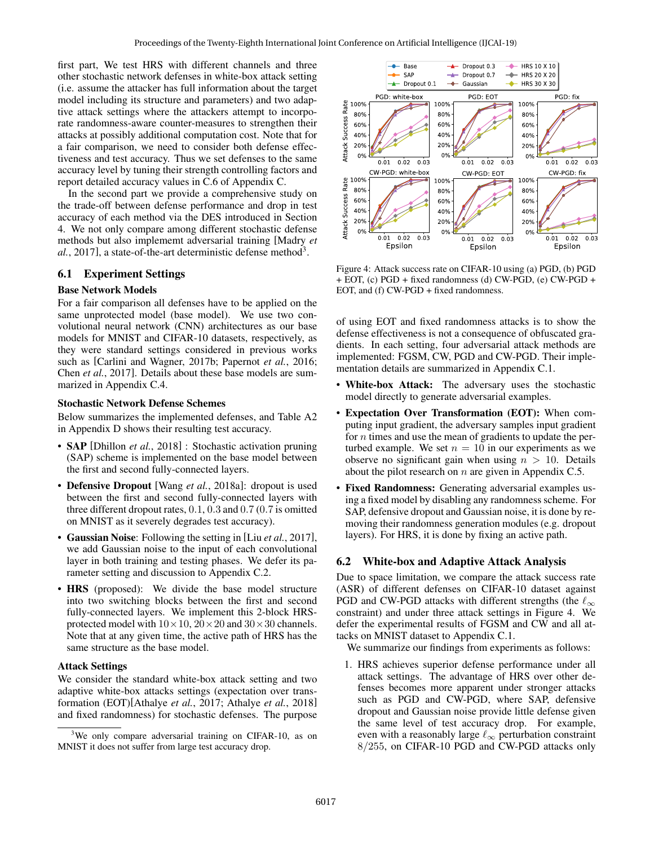first part, We test HRS with different channels and three other stochastic network defenses in white-box attack setting (i.e. assume the attacker has full information about the target model including its structure and parameters) and two adaptive attack settings where the attackers attempt to incorporate randomness-aware counter-measures to strengthen their attacks at possibly additional computation cost. Note that for a fair comparison, we need to consider both defense effectiveness and test accuracy. Thus we set defenses to the same accuracy level by tuning their strength controlling factors and report detailed accuracy values in C.6 of Appendix C.

In the second part we provide a comprehensive study on the trade-off between defense performance and drop in test accuracy of each method via the DES introduced in Section 4. We not only compare among different stochastic defense methods but also implememt adversarial training [Madry *et*  $al., 2017$ ], a state-of-the-art deterministic defense method<sup>3</sup>.

### 6.1 Experiment Settings

#### Base Network Models

For a fair comparison all defenses have to be applied on the same unprotected model (base model). We use two convolutional neural network (CNN) architectures as our base models for MNIST and CIFAR-10 datasets, respectively, as they were standard settings considered in previous works such as [Carlini and Wagner, 2017b; Papernot *et al.*, 2016; Chen *et al.*, 2017]. Details about these base models are summarized in Appendix C.4.

#### Stochastic Network Defense Schemes

Below summarizes the implemented defenses, and Table A2 in Appendix D shows their resulting test accuracy.

- **SAP** [Dhillon *et al.*, 2018] : Stochastic activation pruning (SAP) scheme is implemented on the base model between the first and second fully-connected layers.
- Defensive Dropout [Wang *et al.*, 2018a]: dropout is used between the first and second fully-connected layers with three different dropout rates, 0*.*1, 0*.*3 and 0*.*7 (0*.*7 is omitted on MNIST as it severely degrades test accuracy).
- Gaussian Noise: Following the setting in [Liu *et al.*, 2017], we add Gaussian noise to the input of each convolutional layer in both training and testing phases. We defer its parameter setting and discussion to Appendix C.2.
- HRS (proposed): We divide the base model structure into two switching blocks between the first and second fully-connected layers. We implement this 2-block HRSprotected model with  $10 \times 10$ ,  $20 \times 20$  and  $30 \times 30$  channels. Note that at any given time, the active path of HRS has the same structure as the base model.

#### Attack Settings

We consider the standard white-box attack setting and two adaptive white-box attacks settings (expectation over transformation (EOT)[Athalye *et al.*, 2017; Athalye *et al.*, 2018] and fixed randomness) for stochastic defenses. The purpose



Figure 4: Attack success rate on CIFAR-10 using (a) PGD, (b) PGD + EOT, (c) PGD + fixed randomness (d) CW-PGD, (e) CW-PGD + EOT, and (f) CW-PGD + fixed randomness.

of using EOT and fixed randomness attacks is to show the defense effectiveness is not a consequence of obfuscated gradients. In each setting, four adversarial attack methods are implemented: FGSM, CW, PGD and CW-PGD. Their implementation details are summarized in Appendix C.1.

- White-box Attack: The adversary uses the stochastic model directly to generate adversarial examples.
- Expectation Over Transformation (EOT): When computing input gradient, the adversary samples input gradient for *n* times and use the mean of gradients to update the perturbed example. We set  $n = 10$  in our experiments as we observe no significant gain when using  $n > 10$ . Details about the pilot research on *n* are given in Appendix C.5.
- Fixed Randomness: Generating adversarial examples using a fixed model by disabling any randomness scheme. For SAP, defensive dropout and Gaussian noise, it is done by removing their randomness generation modules (e.g. dropout layers). For HRS, it is done by fixing an active path.

#### 6.2 White-box and Adaptive Attack Analysis

Due to space limitation, we compare the attack success rate (ASR) of different defenses on CIFAR-10 dataset against PGD and CW-PGD attacks with different strengths (the  $\ell_{\infty}$ ) constraint) and under three attack settings in Figure 4. We defer the experimental results of FGSM and CW and all attacks on MNIST dataset to Appendix C.1.

We summarize our findings from experiments as follows:

1. HRS achieves superior defense performance under all attack settings. The advantage of HRS over other defenses becomes more apparent under stronger attacks such as PGD and CW-PGD, where SAP, defensive dropout and Gaussian noise provide little defense given the same level of test accuracy drop. For example, even with a reasonably large  $\ell_{\infty}$  perturbation constraint 8*/*255, on CIFAR-10 PGD and CW-PGD attacks only

<sup>&</sup>lt;sup>3</sup>We only compare adversarial training on CIFAR-10, as on MNIST it does not suffer from large test accuracy drop.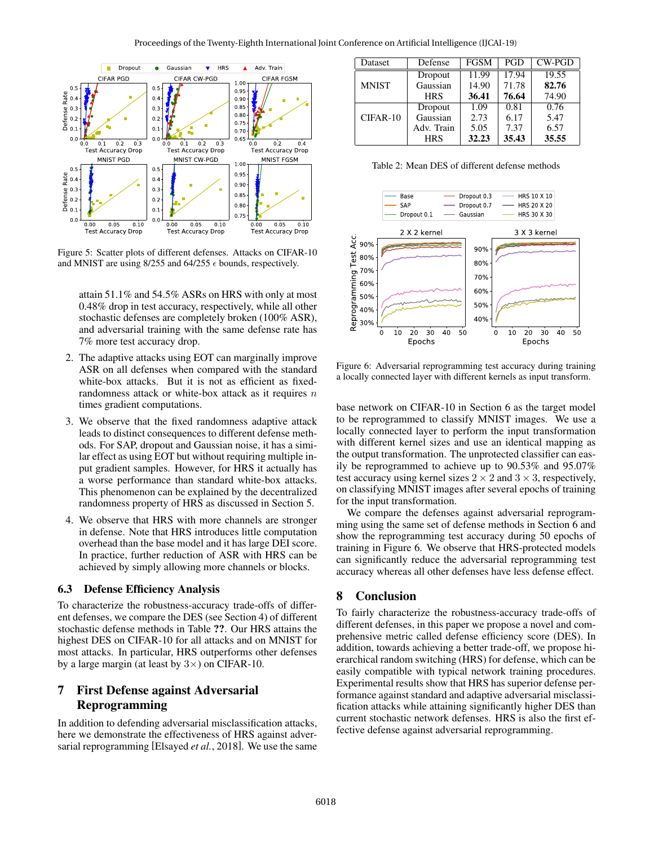

Figure 5: Scatter plots of different defenses. Attacks on CIFAR-10 and MNIST are using 8/255 and 64/255  $\epsilon$  bounds, respectively.

attain 51.1% and 54.5% ASRs on HRS with only at most 0.48% drop in test accuracy, respectively, while all other stochastic defenses are completely broken (100% ASR), and adversarial training with the same defense rate has 7% more test accuracy drop.

- 2. The adaptive attacks using EOT can marginally improve ASR on all defenses when compared with the standard white-box attacks. But it is not as efficient as fixedrandomness attack or white-box attack as it requires *n* times gradient computations.
- 3. We observe that the fixed randomness adaptive attack leads to distinct consequences to different defense methods. For SAP, dropout and Gaussian noise, it has a similar effect as using EOT but without requiring multiple input gradient samples. However, for HRS it actually has a worse performance than standard white-box attacks. This phenomenon can be explained by the decentralized randomness property of HRS as discussed in Section 5.
- 4. We observe that HRS with more channels are stronger in defense. Note that HRS introduces little computation overhead than the base model and it has large DEI score. In practice, further reduction of ASR with HRS can be achieved by simply allowing more channels or blocks.

### 6.3 Defense Efficiency Analysis

To characterize the robustness-accuracy trade-offs of different defenses, we compare the DES (see Section 4) of different stochastic defense methods in Table ??. Our HRS attains the highest DES on CIFAR-10 for all attacks and on MNIST for most attacks. In particular, HRS outperforms other defenses by a large margin (at least by  $3\times$ ) on CIFAR-10.

# 7 First Defense against Adversarial Reprogramming

In addition to defending adversarial misclassification attacks, here we demonstrate the effectiveness of HRS against adversarial reprogramming [Elsayed *et al.*, 2018]. We use the same

| Dataset      | Defense    | <b>FGSM</b> | <b>PGD</b> | $CW-PGD$ |
|--------------|------------|-------------|------------|----------|
| <b>MNIST</b> | Dropout    | 11.99       | 17.94      | 19.55    |
|              | Gaussian   | 14.90       | 71.78      | 82.76    |
|              | <b>HRS</b> | 36.41       | 76.64      | 74.90    |
| $CIFAR-10$   | Dropout    | 1.09        | 0.81       | 0.76     |
|              | Gaussian   | 2.73        | 6.17       | 5.47     |
|              | Adv. Train | 5.05        | 7.37       | 6.57     |
|              | <b>HRS</b> | 32.23       | 35.43      | 35.55    |

Table 2: Mean DES of different defense methods



Figure 6: Adversarial reprogramming test accuracy during training a locally connected layer with different kernels as input transform.

base network on CIFAR-10 in Section 6 as the target model to be reprogrammed to classify MNIST images. We use a locally connected layer to perform the input transformation with different kernel sizes and use an identical mapping as the output transformation. The unprotected classifier can easily be reprogrammed to achieve up to 90.53% and 95.07% test accuracy using kernel sizes  $2 \times 2$  and  $3 \times 3$ , respectively, on classifying MNIST images after several epochs of training for the input transformation.

We compare the defenses against adversarial reprogramming using the same set of defense methods in Section 6 and show the reprogramming test accuracy during 50 epochs of training in Figure 6. We observe that HRS-protected models can significantly reduce the adversarial reprogramming test accuracy whereas all other defenses have less defense effect.

# 8 Conclusion

To fairly characterize the robustness-accuracy trade-offs of different defenses, in this paper we propose a novel and comprehensive metric called defense efficiency score (DES). In addition, towards achieving a better trade-off, we propose hierarchical random switching (HRS) for defense, which can be easily compatible with typical network training procedures. Experimental results show that HRS has superior defense performance against standard and adaptive adversarial misclassification attacks while attaining significantly higher DES than current stochastic network defenses. HRS is also the first effective defense against adversarial reprogramming.